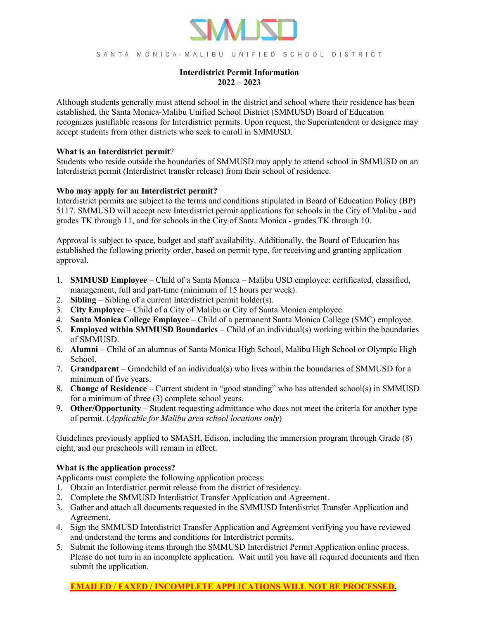

SANTA MONICA-MALIBU UNIFIED SCHOOL DISTRICT

# **Interdistrict Permit Information 2022 – 2023**

Although students generally must attend school in the district and school where their residence has been established, the Santa Monica-Malibu Unified School District (SMMUSD) Board of Education recognizes justifiable reasons for Interdistrict permits. Upon request, the Superintendent or designee may accept students from other districts who seek to enroll in SMMUSD.

### **What is an Interdistrict permit**?

Students who reside outside the boundaries of SMMUSD may apply to attend school in SMMUSD on an Interdistrict permit (Interdistrict transfer release) from their school of residence.

## **Who may apply for an Interdistrict permit?**

Interdistrict permits are subject to the terms and conditions stipulated in Board of Education Policy (BP) 5117. SMMUSD will accept new Interdistrict permit applications for schools in the City of Malibu - and grades TK through 11, and for schools in the City of Santa Monica - grades TK through 10.

Approval is subject to space, budget and staff availability. Additionally, the Board of Education has established the following priority order, based on permit type, for receiving and granting application approval.

- 1. **SMMUSD Employee** Child of a Santa Monica Malibu USD employee: certificated, classified, management, full and part-time (minimum of 15 hours per week).
- 2. **Sibling** Sibling of a current Interdistrict permit holder(s).
- 3. **City Employee** Child of a City of Malibu or City of Santa Monica employee.
- 4. **Santa Monica College Employee** Child of a permanent Santa Monica College (SMC) employee.
- 5. **Employed within SMMUSD Boundaries** Child of an individual(s) working within the boundaries of SMMUSD.
- 6. **Alumni**  Child of an alumnus of Santa Monica High School, Malibu High School or Olympic High School.
- 7. **Grandparent**  Grandchild of an individual(s) who lives within the boundaries of SMMUSD for a minimum of five years.
- 8. **Change of Residence** Current student in "good standing" who has attended school(s) in SMMUSD for a minimum of three (3) complete school years.
- 9. **Other/Opportunity** Student requesting admittance who does not meet the criteria for another type of permit. (*Applicable for Malibu area school locations only*)

Guidelines previously applied to SMASH, Edison, including the immersion program through Grade (8) eight, and our preschools will remain in effect.

## **What is the application process?**

Applicants must complete the following application process:

- 1. Obtain an Interdistrict permit release from the district of residency.
- 2. Complete the SMMUSD Interdistrict Transfer Application and Agreement.
- 3. Gather and attach all documents requested in the SMMUSD Interdistrict Transfer Application and Agreement.
- 4. Sign the SMMUSD Interdistrict Transfer Application and Agreement verifying you have reviewed and understand the terms and conditions for Interdistrict permits.
- 5. Submit the following items through the SMMUSD Interdistrict Permit Application online process. Please do not turn in an incomplete application. Wait until you have all required documents and then submit the application.

# **EMAILED / FAXED / INCOMPLETE APPLICATIONS WILL NOT BE PROCESSED.**